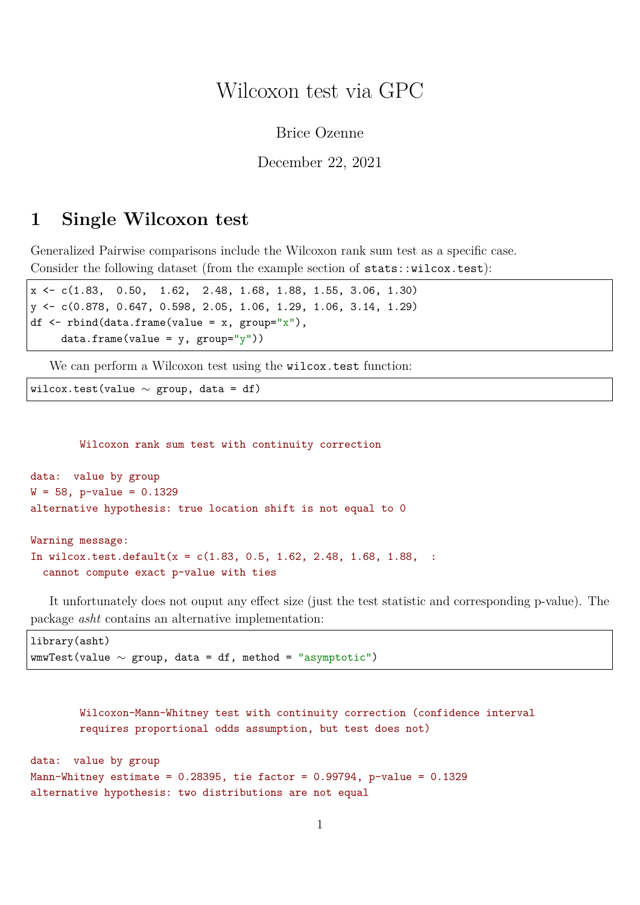## Wilcoxon test via GPC

Brice Ozenne

December 22, 2021

## <span id="page-0-0"></span>**1 Single Wilcoxon test**

Generalized Pairwise comparisons include the Wilcoxon rank sum test as a specific case. Consider the following dataset (from the example section of stats::wilcox.test):

```
x <- c(1.83, 0.50, 1.62, 2.48, 1.68, 1.88, 1.55, 3.06, 1.30)
y <- c(0.878, 0.647, 0.598, 2.05, 1.06, 1.29, 1.06, 3.14, 1.29)
df \le rbind(data.frame(value = x, group="x"),
    data-frame(value = y, group='y")
```
We can perform a Wilcoxon test using the wilcox.test function:

```
wilcox.test(value \sim group, data = df)
```
Wilcoxon rank sum test with continuity correction

```
data: value by group
W = 58, p-value = 0.1329
alternative hypothesis: true location shift is not equal to 0
```

```
Warning message:
In wilcox.test.default(x = c(1.83, 0.5, 1.62, 2.48, 1.68, 1.88, ...)cannot compute exact p-value with ties
```
It unfortunately does not ouput any effect size (just the test statistic and corresponding p-value). The package *asht* contains an alternative implementation:

```
library(asht)
wmvTest(value ~ group, data = df, method = "asymptotic")
```

```
Wilcoxon-Mann-Whitney test with continuity correction (confidence interval
        requires proportional odds assumption, but test does not)
data: value by group
Mann-Whitney estimate = 0.28395, tie factor = 0.99794, p-value = 0.1329alternative hypothesis: two distributions are not equal
```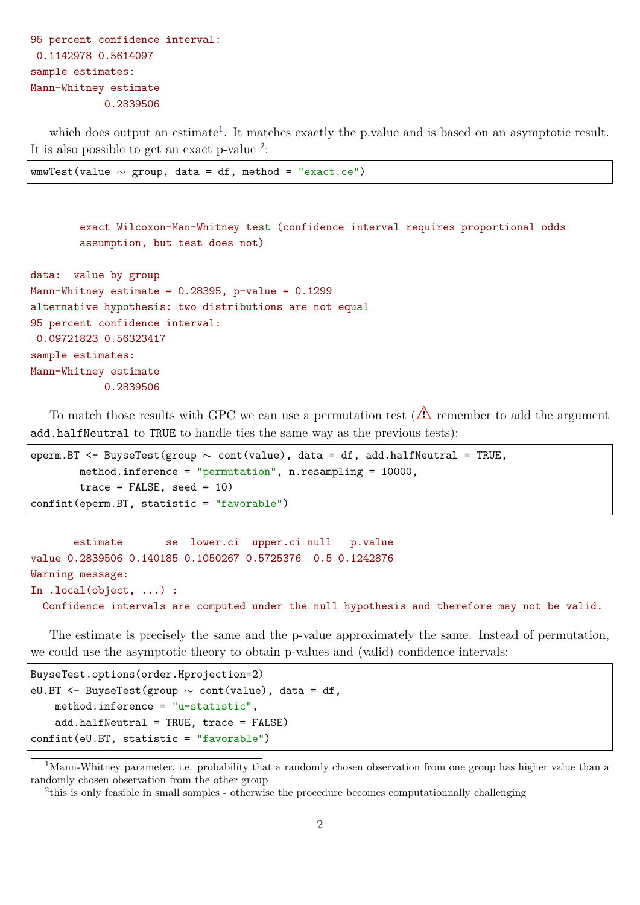```
95 percent confidence interval:
 0.1142978 0.5614097
sample estimates:
Mann-Whitney estimate
            0.2839506
```
which does output an estimate<sup>[1](#page-0-0)</sup>. It matches exactly the p.value and is based on an asymptotic result. It is also possible to get an exact p-value  $2$ :

```
wmwTest(value \sim group, data = df, method = "exact.ce")
```
exact Wilcoxon-Man-Whitney test (confidence interval requires proportional odds assumption, but test does not)

```
data: value by group
Mann-Whitney estimate = 0.28395, p-value = 0.1299alternative hypothesis: two distributions are not equal
95 percent confidence interval:
 0.09721823 0.56323417
sample estimates:
Mann-Whitney estimate
            0.2839506
```
To match those results with GPC we can use a permutation test  $(\triangle)$  remember to add the argument add.halfNeutral to TRUE to handle ties the same way as the previous tests):

```
eperm.BT <- BuyseTest(group \sim cont(value), data = df, add.halfNeutral = TRUE,
        method.inference = "permutation", n.resampling = 10000,
        trace = FALSE, seed = 10)confint(eperm.BT, statistic = "favorable")
```
estimate se lower.ci upper.ci null p.value value 0.2839506 0.140185 0.1050267 0.5725376 0.5 0.1242876 Warning message: In .local(object, ...) : Confidence intervals are computed under the null hypothesis and therefore may not be valid.

The estimate is precisely the same and the p-value approximately the same. Instead of permutation, we could use the asymptotic theory to obtain p-values and (valid) confidence intervals:

```
BuyseTest.options(order.Hprojection=2)
eU.BT <- BuyseTest(group \sim cont(value), data = df,
    method.inference = "u-statistic",
    add.halfNeutral = TRUE, trace = FALSE)
confint(eU.BT, statistic = "favorable")
```
<sup>&</sup>lt;sup>1</sup>Mann-Whitney parameter, i.e. probability that a randomly chosen observation from one group has higher value than a randomly chosen observation from the other group

<sup>&</sup>lt;sup>2</sup>this is only feasible in small samples - otherwise the procedure becomes computationnally challenging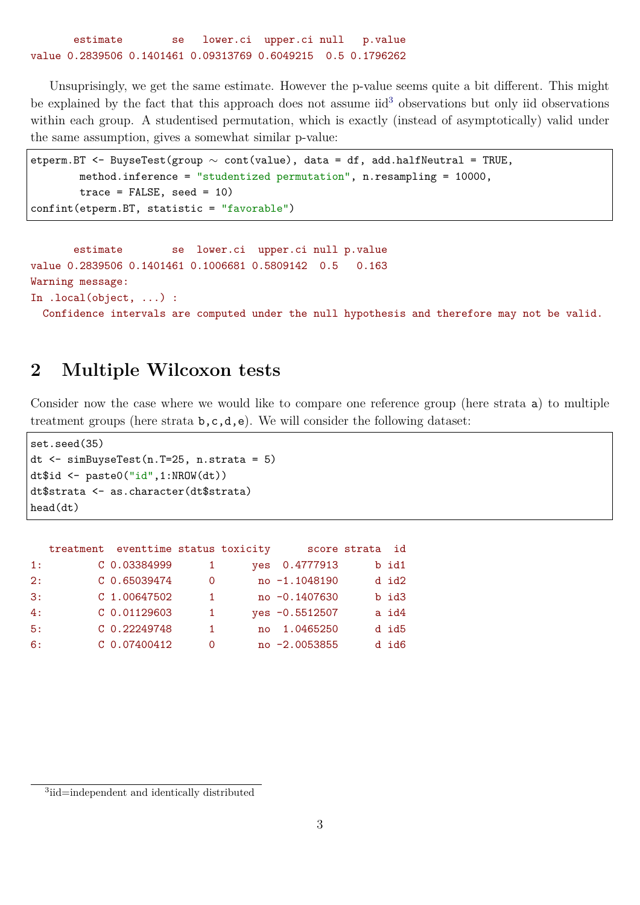estimate se lower.ci upper.ci null p.value value 0.2839506 0.1401461 0.09313769 0.6049215 0.5 0.1796262

Unsuprisingly, we get the same estimate. However the p-value seems quite a bit different. This might be explained by the fact that this approach does not assume  $\mathrm{i} \mathrm{d}^3$  $\mathrm{i} \mathrm{d}^3$  observations but only iid observations within each group. A studentised permutation, which is exactly (instead of asymptotically) valid under the same assumption, gives a somewhat similar p-value:

```
etperm.BT <- BuyseTest(group \sim cont(value), data = df, add.halfNeutral = TRUE,
        method.inference = "studentized permutation", n.resampling = 10000,
        trace = FALSE, seed = 10)confint(etperm.BT, statistic = "favorable")
```
estimate se lower.ci upper.ci null p.value value 0.2839506 0.1401461 0.1006681 0.5809142 0.5 0.163 Warning message: In .local(object, ...) :

Confidence intervals are computed under the null hypothesis and therefore may not be valid.

## **2 Multiple Wilcoxon tests**

Consider now the case where we would like to compare one reference group (here strata a) to multiple treatment groups (here strata  $\mathfrak{b}, \mathfrak{c}, \mathfrak{d}, \mathfrak{e}$ ). We will consider the following dataset:

```
set.seed(35)
dt <- simBuyseTest(n.T=25, n.strata = 5)
dt$id <- paste0("id",1:NROW(dt))
dt$strata <- as.character(dt$strata)
head(dt)
```

|    | treatment eventtime status toxicity |     |            |                  | score strata id |       |
|----|-------------------------------------|-----|------------|------------------|-----------------|-------|
| 1: | C 0.03384999                        | 1   | <b>ves</b> | 0.4777913        |                 | b id1 |
| 2: | C 0.65039474                        | 0   |            | no -1.1048190    |                 | d id2 |
| 3: | $C$ 1.00647502                      | 1.  |            | $no -0.1407630$  |                 | b id3 |
| 4: | $C$ 0.01129603                      | -1. |            | $yes -0.5512507$ |                 | a id4 |
| 5: | C 0.22249748                        | 1.  |            | no 1.0465250     |                 | d id5 |
| 6: | C 0.07400412                        | 0   |            | no -2.0053855    |                 | d id6 |

<sup>&</sup>lt;sup>3</sup>iid=independent and identically distributed